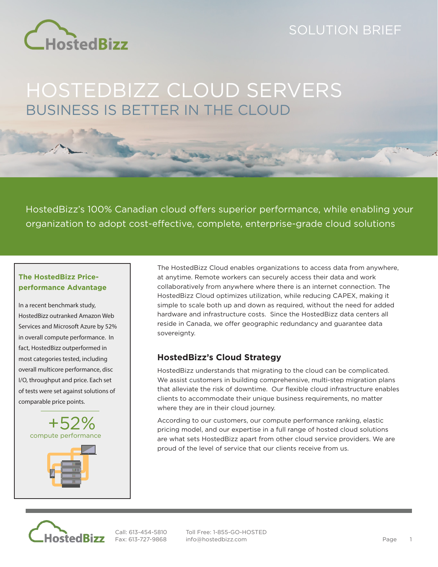

## SOLUTION BRIEF

# HOSTEDBIZZ CLOUD SERVERS BUSINESS IS BETTER IN THE CLOUD

HostedBizz's 100% Canadian cloud offers superior performance, while enabling your organization to adopt cost-effective, complete, enterprise-grade cloud solutions

### **The HostedBizz Priceperformance Advantage**

In a recent benchmark study, HostedBizz outranked Amazon Web Services and Microsoft Azure by 52% in overall compute performance. In fact, HostedBizz outperformed in most categories tested, including overall multicore performance, disc I/O, throughput and price. Each set of tests were set against solutions of comparable price points.



The HostedBizz Cloud enables organizations to access data from anywhere, at anytime. Remote workers can securely access their data and work collaboratively from anywhere where there is an internet connection. The HostedBizz Cloud optimizes utilization, while reducing CAPEX, making it simple to scale both up and down as required, without the need for added hardware and infrastructure costs. Since the HostedBizz data centers all reside in Canada, we offer geographic redundancy and guarantee data sovereignty.

## **HostedBizz's Cloud Strategy**

HostedBizz understands that migrating to the cloud can be complicated. We assist customers in building comprehensive, multi-step migration plans that alleviate the risk of downtime. Our flexible cloud infrastructure enables clients to accommodate their unique business requirements, no matter where they are in their cloud journey.

According to our customers, our compute performance ranking, elastic pricing model, and our expertise in a full range of hosted cloud solutions are what sets HostedBizz apart from other cloud service providers. We are proud of the level of service that our clients receive from us.



Call: 613-454-5810 Fax: 613-727-9868

Toll Free: 1-855-GO-HOSTED info@hostedbizz.com Page 1